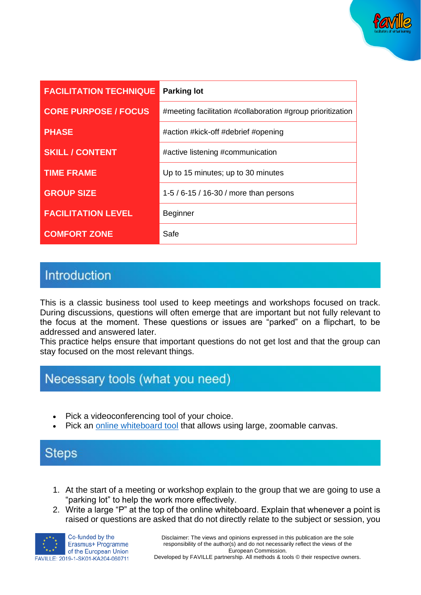

| <b>FACILITATION TECHNIQUE</b> | <b>Parking lot</b>                                         |
|-------------------------------|------------------------------------------------------------|
| <b>CORE PURPOSE / FOCUS</b>   | #meeting facilitation #collaboration #group prioritization |
| <b>PHASE</b>                  | #action #kick-off #debrief #opening                        |
| <b>SKILL / CONTENT</b>        | #active listening #communication                           |
| <b>TIME FRAME</b>             | Up to 15 minutes; up to 30 minutes                         |
| <b>GROUP SIZE</b>             | 1-5 / 6-15 / 16-30 / more than persons                     |
| <b>FACILITATION LEVEL</b>     | <b>Beginner</b>                                            |
| <b>COMFORT ZONE</b>           | Safe                                                       |

#### Introduction

This is a classic business tool used to keep meetings and workshops focused on track. During discussions, questions will often emerge that are important but not fully relevant to the focus at the moment. These questions or issues are "parked" on a flipchart, to be addressed and answered later.

This practice helps ensure that important questions do not get lost and that the group can stay focused on the most relevant things.

### Necessary tools (what you need)

- Pick a videoconferencing tool of your choice.
- Pick an [online whiteboard tool](https://www.sessionlab.com/blog/online-tools-for-workshops/#online-whiteboard-tools) that allows using large, zoomable canvas.

## **Steps**

- 1. At the start of a meeting or workshop explain to the group that we are going to use a "parking lot" to help the work more effectively.
- 2. Write a large "P" at the top of the online whiteboard. Explain that whenever a point is raised or questions are asked that do not directly relate to the subject or session, you



Disclaimer: The views and opinions expressed in this publication are the sole responsibility of the author(s) and do not necessarily reflect the views of the European Commission.

Developed by FAVILLE partnership. All methods & tools © their respective owners.